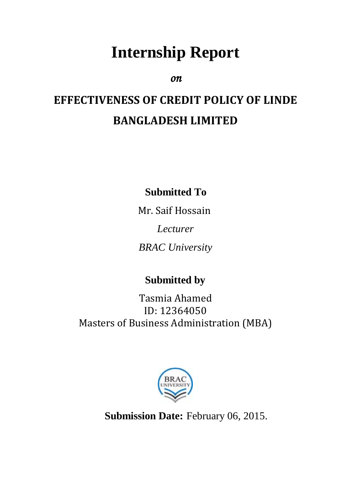# **Internship Report**

*on* 

# **EFFECTIVENESS OF CREDIT POLICY OF LINDE BANGLADESH LIMITED**

**Submitted To**

Mr. Saif Hossain *Lecturer BRAC University*

# **Submitted by**

Tasmia Ahamed ID: 12364050 Masters of Business Administration (MBA)



**Submission Date:** February 06, 2015.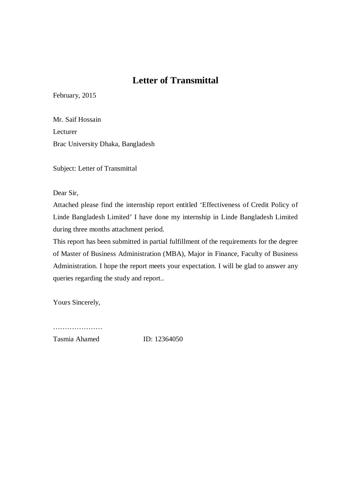# **Letter of Transmittal**

February, 2015

Mr. Saif Hossain Lecturer Brac University Dhaka, Bangladesh

Subject: Letter of Transmittal

Dear Sir,

Attached please find the internship report entitled 'Effectiveness of Credit Policy of Linde Bangladesh Limited' I have done my internship in Linde Bangladesh Limited during three months attachment period.

This report has been submitted in partial fulfillment of the requirements for the degree of Master of Business Administration (MBA), Major in Finance, Faculty of Business Administration. I hope the report meets your expectation. I will be glad to answer any queries regarding the study and report..

Yours Sincerely,

…………………………

Tasmia Ahamed ID: 12364050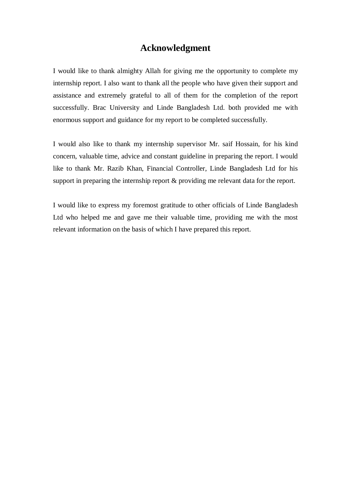## **Acknowledgment**

I would like to thank almighty Allah for giving me the opportunity to complete my internship report. I also want to thank all the people who have given their support and assistance and extremely grateful to all of them for the completion of the report successfully. Brac University and Linde Bangladesh Ltd. both provided me with enormous support and guidance for my report to be completed successfully.

I would also like to thank my internship supervisor Mr. saif Hossain, for his kind concern, valuable time, advice and constant guideline in preparing the report. I would like to thank Mr. Razib Khan, Financial Controller, Linde Bangladesh Ltd for his support in preparing the internship report & providing me relevant data for the report.

I would like to express my foremost gratitude to other officials of Linde Bangladesh Ltd who helped me and gave me their valuable time, providing me with the most relevant information on the basis of which I have prepared this report.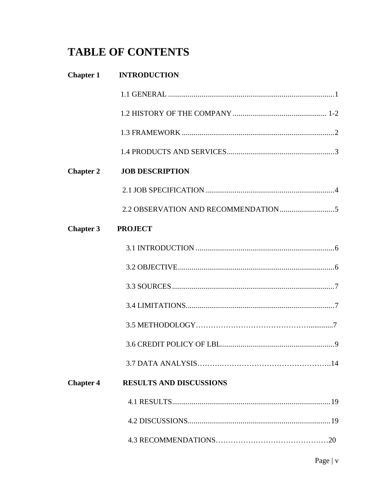# **TABLE OF CONTENTS**

| <b>Chapter 1</b> | <b>INTRODUCTION</b>            |
|------------------|--------------------------------|
|                  |                                |
|                  |                                |
|                  |                                |
|                  |                                |
| <b>Chapter 2</b> | <b>JOB DESCRIPTION</b>         |
|                  |                                |
|                  |                                |
| <b>Chapter 3</b> | <b>PROJECT</b>                 |
|                  |                                |
|                  |                                |
|                  |                                |
|                  |                                |
|                  |                                |
|                  |                                |
|                  |                                |
| <b>Chapter 4</b> | <b>RESULTS AND DISCUSSIONS</b> |
|                  |                                |
|                  |                                |
|                  |                                |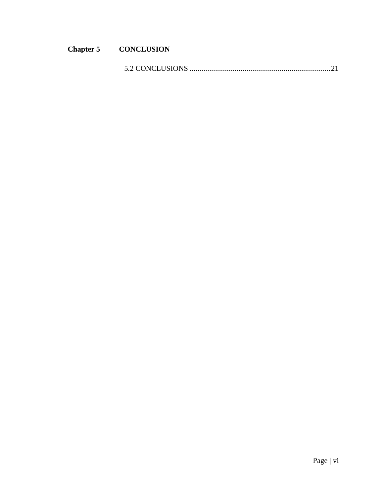# **Chapter 5 CONCLUSION**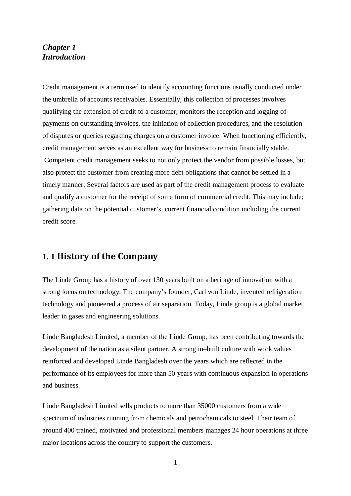#### *Chapter 1 Introduction*

Credit management is a term used to identify accounting functions usually conducted under the umbrella of accounts receivables. Essentially, this collection of processes involves qualifying the extension of credit to a customer, monitors the reception and logging of payments on outstanding invoices, the initiation of collection procedures, and the resolution of disputes or queries regarding charges on a customer invoice. When functioning efficiently, credit management serves as an excellent way for business to remain financially stable. Competent credit management seeks to not only protect the vendor from possible losses, but also protect the customer from creating more debt obligations that cannot be settled in a timely manner. Several factors are used as part of the credit management process to evaluate and qualify a customer for the receipt of some form of commercial credit. This may include; gathering data on the potential customer's, current financial condition including the current credit score.

# **1. 1 History of the Company**

The Linde Group has a history of over 130 years built on a heritage of innovation with a strong focus on technology. The company's founder, Carl von Linde, invented refrigeration technology and pioneered a process of air separation. Today, Linde group is a global market leader in gases and engineering solutions.

Linde Bangladesh Limited**,** a member of the Linde Group, has been contributing towards the development of the nation as a silent partner. A strong in–built culture with work values reinforced and developed Linde Bangladesh over the years which are reflected in the performance of its employees for more than 50 years with continuous expansion in operations and business.

Linde Bangladesh Limited sells products to more than 35000 customers from a wide spectrum of industries running from chemicals and petrochemicals to steel. Their team of around 400 trained, motivated and professional members manages 24 hour operations at three major locations across the country to support the customers.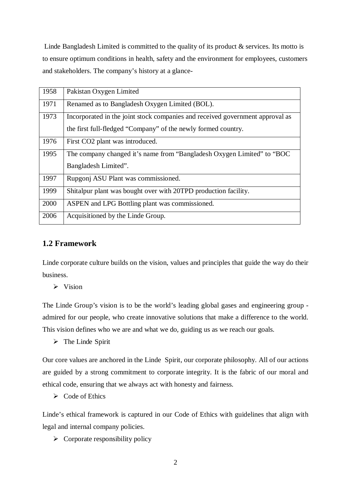Linde Bangladesh Limited is committed to the quality of its product & services. Its motto is to ensure optimum conditions in health, safety and the environment for employees, customers and stakeholders. The company's history at a glance-

| 1958 | Pakistan Oxygen Limited                                                       |
|------|-------------------------------------------------------------------------------|
| 1971 | Renamed as to Bangladesh Oxygen Limited (BOL).                                |
| 1973 | Incorporated in the joint stock companies and received government approval as |
|      | the first full-fledged "Company" of the newly formed country.                 |
| 1976 | First CO2 plant was introduced.                                               |
| 1995 | The company changed it's name from "Bangladesh Oxygen Limited" to "BOC"       |
|      | Bangladesh Limited".                                                          |
| 1997 | Rupgonj ASU Plant was commissioned.                                           |
| 1999 | Shitalpur plant was bought over with 20TPD production facility.               |
| 2000 | ASPEN and LPG Bottling plant was commissioned.                                |
| 2006 | Acquisitioned by the Linde Group.                                             |
|      |                                                                               |

#### **1.2 Framework**

Linde corporate culture builds on the vision, values and principles that guide the way do their business.

 $\triangleright$  Vision

The Linde Group's vision is to be the world's leading global gases and engineering group admired for our people, who create innovative solutions that make a difference to the world. This vision defines who we are and what we do, guiding us as we reach our goals.

 $\triangleright$  The Linde Spirit

Our core values are anchored in the Linde Spirit, our corporate philosophy. All of our actions are guided by a strong commitment to corporate integrity. It is the fabric of our moral and ethical code, ensuring that we always act with honesty and fairness.

 $\triangleright$  Code of Ethics

Linde's ethical framework is captured in our Code of Ethics with guidelines that align with legal and internal company policies.

 $\triangleright$  Corporate responsibility policy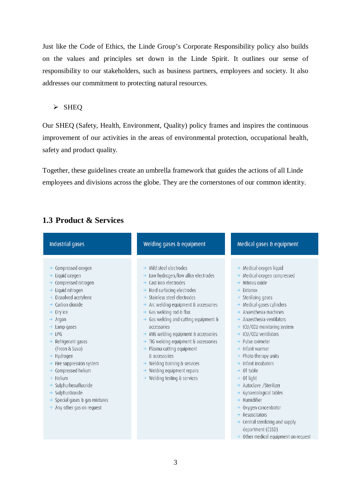Just like the Code of Ethics, the Linde Group's Corporate Responsibility policy also builds on the values and principles set down in the Linde Spirit. It outlines our sense of responsibility to our stakeholders, such as business partners, employees and society. It also addresses our commitment to protecting natural resources.

#### $\triangleright$  SHEQ

Our SHEQ (Safety, Health, Environment, Quality) policy frames and inspires the continuous improvement of our activities in the areas of environmental protection, occupational health, safety and product quality.

Together, these guidelines create an umbrella framework that guides the actions of all Linde employees and divisions across the globe. They are the cornerstones of our common identity.

| <b>Industrial gases</b>                                                                                                                                                                                                                                                                                                                                                                                                                                                                                                                                                                                        | Welding gases & equipment                                                                                                                                                                                                                                                                                                                                                                                                                                                                                                                                                                                                                                                       | Medical gases & equipment                                                                                                                                                                                                                                                                                                                                                                                                                                                                                                                                                                                                                                                                                                                                                                                                      |
|----------------------------------------------------------------------------------------------------------------------------------------------------------------------------------------------------------------------------------------------------------------------------------------------------------------------------------------------------------------------------------------------------------------------------------------------------------------------------------------------------------------------------------------------------------------------------------------------------------------|---------------------------------------------------------------------------------------------------------------------------------------------------------------------------------------------------------------------------------------------------------------------------------------------------------------------------------------------------------------------------------------------------------------------------------------------------------------------------------------------------------------------------------------------------------------------------------------------------------------------------------------------------------------------------------|--------------------------------------------------------------------------------------------------------------------------------------------------------------------------------------------------------------------------------------------------------------------------------------------------------------------------------------------------------------------------------------------------------------------------------------------------------------------------------------------------------------------------------------------------------------------------------------------------------------------------------------------------------------------------------------------------------------------------------------------------------------------------------------------------------------------------------|
| Compressed oxygen<br>→<br>Liquid oxygen<br>Compressed nitrogen<br>$\rightarrow$<br>Liquid nitrogen<br>$\rightarrow$<br>Dissolved acetylene<br>$\rightarrow$ Carbon dioxide<br>$\rightarrow$ Dry ice<br>$\rightarrow$ Argon<br>$\rightarrow$ Lamp gases<br>$\rightarrow$ LPG<br>Refrigerant gases<br>$\rightarrow$<br>(Freon & Suva)<br>$\rightarrow$ Hydrogen<br>Fire suppression system<br>Compressed helium<br>$\rightarrow$<br>Helium<br>$\rightarrow$<br>Sulphurhexafluoride<br>$\rightarrow$<br>Sulphurdioxide<br>$\rightarrow$<br>$\rightarrow$ Special gases & gas mixtures<br>Any other gas on request | $\rightarrow$ Mild steel electrodes<br>$\rightarrow$ Low hydrogen/low alloy electrodes<br>$\rightarrow$ Cast iron electrodes<br>$\rightarrow$ Hard surfacing electrodes<br>Stainless steel electrodes<br>$\rightarrow$ Arc welding equipment & accessories<br>$\rightarrow$ Gas welding rod & flux<br>$\rightarrow$ Gas welding and cutting equipment &<br>accessories<br>$\rightarrow$ MIG welding equipment & accessories<br>$\rightarrow$ TIG welding equipment & accessories<br>$\rightarrow$ Plasma cutting equipment<br>& accessories<br>$\rightarrow$ Welding training & services<br>$\rightarrow$ Welding equipment repairs<br>$\rightarrow$ Welding testing & services | $\rightarrow$ Medical oxygen liquid<br>Medical oxygen compressed<br>$\rightarrow$ Nitrous oxide<br>Entonox<br>$\rightarrow$<br>Sterilizing gases<br>$\rightarrow$ Medical gases cylinders<br>$\rightarrow$ Anaesthesia machines<br>$\rightarrow$ Anaesthesia ventilators<br>$\rightarrow$ ICU/CCU monitoring system<br>$\rightarrow$ ICU/CCU ventilators<br>Pulse oximeter<br>$\rightarrow$ Infant warmer<br>$\rightarrow$ Photo therapy units<br>$\rightarrow$ Infant incubators<br>$\rightarrow$ OT table<br>$\rightarrow$ OT light<br>$\rightarrow$ Autoclave /Sterilizer<br>$\rightarrow$ Gynaecological tables<br>$\rightarrow$ Humidifier<br>Oxygen concentrator<br>$\rightarrow$ Resuscitators<br>$\rightarrow$ Central sterilizing and supply<br>department (CSSD)<br>$\rightarrow$ Other medical equipment on request |

# **1.3 Product & Services**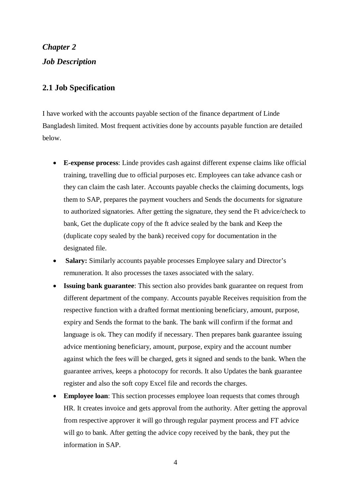*Chapter 2 Job Description*

#### **2.1 Job Specification**

I have worked with the accounts payable section of the finance department of Linde Bangladesh limited. Most frequent activities done by accounts payable function are detailed below.

- **E-expense process**: Linde provides cash against different expense claims like official training, travelling due to official purposes etc. Employees can take advance cash or they can claim the cash later. Accounts payable checks the claiming documents, logs them to SAP, prepares the payment vouchers and Sends the documents for signature to authorized signatories. After getting the signature, they send the Ft advice/check to bank, Get the duplicate copy of the ft advice sealed by the bank and Keep the (duplicate copy sealed by the bank) received copy for documentation in the designated file.
- **Salary:** Similarly accounts payable processes Employee salary and Director's remuneration. It also processes the taxes associated with the salary.
- **Issuing bank guarantee**: This section also provides bank guarantee on request from different department of the company. Accounts payable Receives requisition from the respective function with a drafted format mentioning beneficiary, amount, purpose, expiry and Sends the format to the bank. The bank will confirm if the format and language is ok. They can modify if necessary. Then prepares bank guarantee issuing advice mentioning beneficiary, amount, purpose, expiry and the account number against which the fees will be charged, gets it signed and sends to the bank. When the guarantee arrives, keeps a photocopy for records. It also Updates the bank guarantee register and also the soft copy Excel file and records the charges.
- **Employee loan**: This section processes employee loan requests that comes through HR. It creates invoice and gets approval from the authority. After getting the approval from respective approver it will go through regular payment process and FT advice will go to bank. After getting the advice copy received by the bank, they put the information in SAP.

4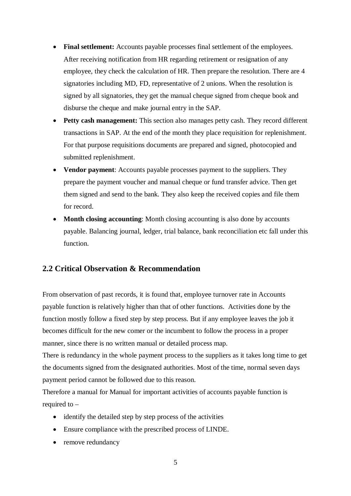- **Final settlement:** Accounts payable processes final settlement of the employees. After receiving notification from HR regarding retirement or resignation of any employee, they check the calculation of HR. Then prepare the resolution. There are 4 signatories including MD, FD, representative of 2 unions. When the resolution is signed by all signatories, they get the manual cheque signed from cheque book and disburse the cheque and make journal entry in the SAP.
- **Petty cash management:** This section also manages petty cash. They record different transactions in SAP. At the end of the month they place requisition for replenishment. For that purpose requisitions documents are prepared and signed, photocopied and submitted replenishment.
- **Vendor payment**: Accounts payable processes payment to the suppliers. They prepare the payment voucher and manual cheque or fund transfer advice. Then get them signed and send to the bank. They also keep the received copies and file them for record.
- **Month closing accounting**: Month closing accounting is also done by accounts payable. Balancing journal, ledger, trial balance, bank reconciliation etc fall under this function.

# **2.2 Critical Observation & Recommendation**

From observation of past records, it is found that, employee turnover rate in Accounts payable function is relatively higher than that of other functions. Activities done by the function mostly follow a fixed step by step process. But if any employee leaves the job it becomes difficult for the new comer or the incumbent to follow the process in a proper manner, since there is no written manual or detailed process map.

There is redundancy in the whole payment process to the suppliers as it takes long time to get the documents signed from the designated authorities. Most of the time, normal seven days payment period cannot be followed due to this reason.

Therefore a manual for Manual for important activities of accounts payable function is required to –

- identify the detailed step by step process of the activities
- Ensure compliance with the prescribed process of LINDE.
- remove redundancy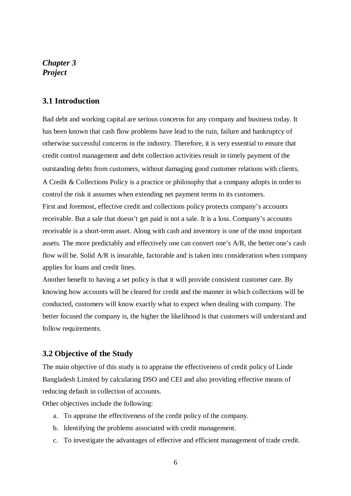#### *Chapter 3 Project*

#### **3.1 Introduction**

Bad debt and working capital are serious concerns for any company and business today. It has been known that cash flow problems have lead to the ruin, failure and bankruptcy of otherwise successful concerns in the industry. Therefore, it is very essential to ensure that credit control management and debt collection activities result in timely payment of the outstanding debts from customers, without damaging good customer relations with clients. A Credit & Collections Policy is a practice or philosophy that a company adopts in order to control the risk it assumes when extending net payment terms to its customers. First and foremost, effective credit and collections policy protects company's accounts receivable. But a sale that doesn't get paid is not a sale. It is a loss. Company's accounts receivable is a short-term asset. Along with cash and inventory is one of the most important assets. The more predictably and effectively one can convert one's A/R, the better one's cash flow will be. Solid A/R is insurable, factorable and is taken into consideration when company applies for loans and credit lines.

Another benefit to having a set policy is that it will provide consistent customer care. By knowing how accounts will be cleared for credit and the manner in which collections will be conducted, customers will know exactly what to expect when dealing with company. The better focused the company is, the higher the likelihood is that customers will understand and follow requirements.

#### **3.2 Objective of the Study**

The main objective of this study is to appraise the effectiveness of credit policy of Linde Bangladesh Limited by calculating DSO and CEI and also providing effective means of reducing default in collection of accounts.

Other objectives include the following:

- a. To appraise the effectiveness of the credit policy of the company.
- b. Identifying the problems associated with credit management.
- c. To investigate the advantages of effective and efficient management of trade credit.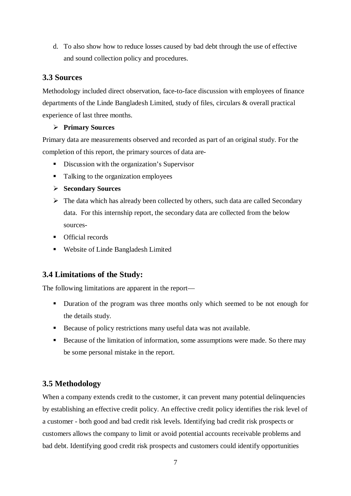d. To also show how to reduce losses caused by bad debt through the use of effective and sound collection policy and procedures.

### **3.3 Sources**

Methodology included direct observation, face-to-face discussion with employees of finance departments of the Linde Bangladesh Limited, study of files, circulars & overall practical experience of last three months.

#### **Primary Sources**

Primary data are measurements observed and recorded as part of an original study. For the completion of this report, the primary sources of data are-

- Discussion with the organization's Supervisor
- Talking to the organization employees
- **Secondary Sources**
- $\triangleright$  The data which has already been collected by others, such data are called Secondary data. For this internship report, the secondary data are collected from the below sources-
- **•** Official records
- Website of Linde Bangladesh Limited

# **3.4 Limitations of the Study:**

The following limitations are apparent in the report—

- Duration of the program was three months only which seemed to be not enough for the details study.
- Because of policy restrictions many useful data was not available.
- Because of the limitation of information, some assumptions were made. So there may be some personal mistake in the report.

# **3.5 Methodology**

When a company extends credit to the customer, it can prevent many potential delinquencies by establishing an effective credit policy. An effective credit policy identifies the risk level of a customer - both good and bad credit risk levels. Identifying bad credit risk prospects or customers allows the company to limit or avoid potential accounts receivable problems and bad debt. Identifying good credit risk prospects and customers could identify opportunities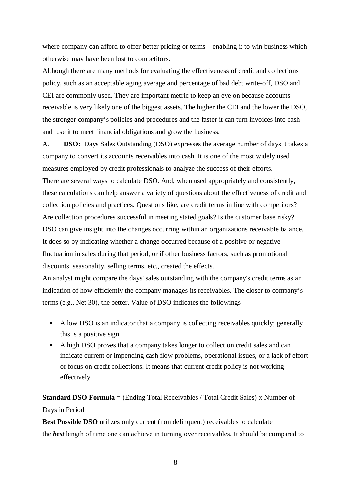where company can afford to offer better pricing or terms – enabling it to win business which otherwise may have been lost to competitors.

Although there are many methods for evaluating the effectiveness of credit and collections policy, such as an acceptable aging average and percentage of bad debt write-off, DSO and CEI are commonly used. They are important metric to keep an eye on because accounts receivable is very likely one of the biggest assets. The higher the CEI and the lower the DSO, the stronger company's policies and procedures and the faster it can turn invoices into cash and use it to meet financial obligations and grow the business.

A. **DSO:** Days Sales Outstanding (DSO) expresses the average number of days it takes a company to convert its accounts receivables into cash. It is one of the most widely used measures employed by credit professionals to analyze the success of their efforts. There are several ways to calculate DSO. And, when used appropriately and consistently, these calculations can help answer a variety of questions about the effectiveness of credit and collection policies and practices. Questions like, are credit terms in line with competitors? Are collection procedures successful in meeting stated goals? Is the customer base risky? DSO can give insight into the changes occurring within an organizations receivable balance. It does so by indicating whether a change occurred because of a positive or negative fluctuation in sales during that period, or if other business factors, such as promotional discounts, seasonality, selling terms, etc., created the effects.

An analyst might compare the days' sales outstanding with the company's credit terms as an indication of how efficiently the company manages its receivables. The closer to company's terms (e.g., Net 30), the better. Value of DSO indicates the followings-

- A low DSO is an indicator that a company is collecting receivables quickly; generally this is a positive sign.
- A high DSO proves that a company takes longer to collect on credit sales and can indicate current or impending cash flow problems, operational issues, or a lack of effort or focus on credit collections. It means that current credit policy is not working effectively.

# **Standard DSO Formula** = (Ending Total Receivables / Total Credit Sales) x Number of Days in Period

**Best Possible DSO** utilizes only current (non delinquent) receivables to calculate the *best* length of time one can achieve in turning over receivables. It should be compared to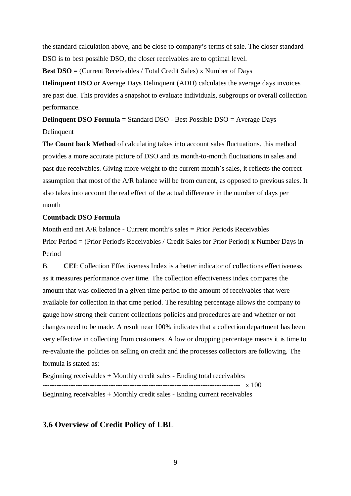the standard calculation above, and be close to company's terms of sale. The closer standard DSO is to best possible DSO, the closer receivables are to optimal level.

**Best DSO =** (Current Receivables / Total Credit Sales) x Number of Days

**Delinquent DSO** or Average Days Delinquent (ADD) calculates the average days invoices are past due. This provides a snapshot to evaluate individuals, subgroups or overall collection performance.

**Delinquent DSO Formula =** Standard DSO - Best Possible DSO = Average Days Delinquent

The **Count back Method** of calculating takes into account sales fluctuations. this method provides a more accurate picture of DSO and its month-to-month fluctuations in sales and past due receivables. Giving more weight to the current month's sales, it reflects the correct assumption that most of the A/R balance will be from current, as opposed to previous sales. It also takes into account the real effect of the actual difference in the number of days per month

#### **Countback DSO Formula**

Month end net  $A/R$  balance - Current month's sales = Prior Periods Receivables Prior Period = (Prior Period's Receivables / Credit Sales for Prior Period) x Number Days in Period

B. **CEI**: Collection Effectiveness Index is a better indicator of collections effectiveness as it measures performance over time. The collection effectiveness index compares the amount that was collected in a given time period to the amount of receivables that were available for collection in that time period. The resulting percentage allows the company to gauge how strong their current collections policies and procedures are and whether or not changes need to be made. A result near 100% indicates that a collection department has been very effective in collecting from customers. A low or dropping percentage means it is time to re-evaluate the policies on selling on credit and the processes collectors are following. The formula is stated as:

Beginning receivables + Monthly credit sales - Ending total receivables ------------------------------------------------------------------------------------ x 100 Beginning receivables + Monthly credit sales - Ending current receivables

#### **3.6 Overview of Credit Policy of LBL**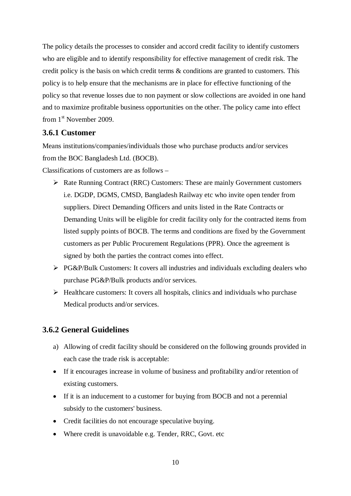The policy details the processes to consider and accord credit facility to identify customers who are eligible and to identify responsibility for effective management of credit risk. The credit policy is the basis on which credit terms & conditions are granted to customers. This policy is to help ensure that the mechanisms are in place for effective functioning of the policy so that revenue losses due to non payment or slow collections are avoided in one hand and to maximize profitable business opportunities on the other. The policy came into effect from 1<sup>st</sup> November 2009.

#### **3.6.1 Customer**

Means institutions/companies/individuals those who purchase products and/or services from the BOC Bangladesh Ltd. (BOCB).

Classifications of customers are as follows –

- $\triangleright$  Rate Running Contract (RRC) Customers: These are mainly Government customers i.e. DGDP, DGMS, CMSD, Bangladesh Railway etc who invite open tender from suppliers. Direct Demanding Officers and units listed in the Rate Contracts or Demanding Units will be eligible for credit facility only for the contracted items from listed supply points of BOCB. The terms and conditions are fixed by the Government customers as per Public Procurement Regulations (PPR). Once the agreement is signed by both the parties the contract comes into effect.
- $\triangleright$  PG&P/Bulk Customers: It covers all industries and individuals excluding dealers who purchase PG&P/Bulk products and/or services.
- $\triangleright$  Healthcare customers: It covers all hospitals, clinics and individuals who purchase Medical products and/or services.

# **3.6.2 General Guidelines**

- a) Allowing of credit facility should be considered on the following grounds provided in each case the trade risk is acceptable:
- If it encourages increase in volume of business and profitability and/or retention of existing customers.
- If it is an inducement to a customer for buying from BOCB and not a perennial subsidy to the customers' business.
- Credit facilities do not encourage speculative buying.
- Where credit is unavoidable e.g. Tender, RRC, Govt. etc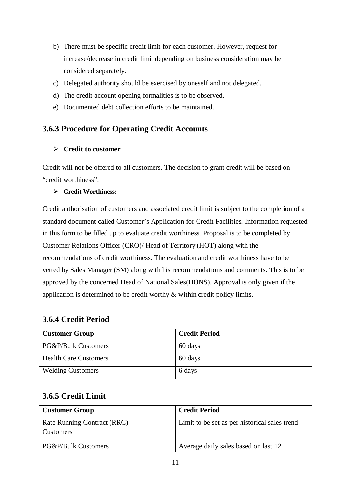- b) There must be specific credit limit for each customer. However, request for increase/decrease in credit limit depending on business consideration may be considered separately.
- c) Delegated authority should be exercised by oneself and not delegated.
- d) The credit account opening formalities is to be observed.
- e) Documented debt collection efforts to be maintained.

# **3.6.3 Procedure for Operating Credit Accounts**

#### **Credit to customer**

Credit will not be offered to all customers. The decision to grant credit will be based on "credit worthiness".

#### **Credit Worthiness:**

Credit authorisation of customers and associated credit limit is subject to the completion of a standard document called Customer's Application for Credit Facilities. Information requested in this form to be filled up to evaluate credit worthiness. Proposal is to be completed by Customer Relations Officer (CRO)/ Head of Territory (HOT) along with the recommendations of credit worthiness. The evaluation and credit worthiness have to be vetted by Sales Manager (SM) along with his recommendations and comments. This is to be approved by the concerned Head of National Sales(HONS). Approval is only given if the application is determined to be credit worthy & within credit policy limits.

# **3.6.4 Credit Period**

| <b>Customer Group</b>        | <b>Credit Period</b> |
|------------------------------|----------------------|
| PG&P/Bulk Customers          | 60 days              |
| <b>Health Care Customers</b> | 60 days              |
| <b>Welding Customers</b>     | 6 days               |

# **3.6.5 Credit Limit**

| <b>Customer Group</b>                           | <b>Credit Period</b>                          |
|-------------------------------------------------|-----------------------------------------------|
| Rate Running Contract (RRC)<br><b>Customers</b> | Limit to be set as per historical sales trend |
|                                                 |                                               |
| <b>PG&amp;P/Bulk Customers</b>                  | Average daily sales based on last 12          |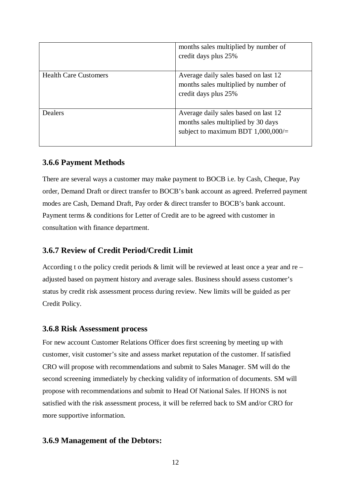|                              | months sales multiplied by number of<br>credit days plus 25%                                                       |
|------------------------------|--------------------------------------------------------------------------------------------------------------------|
| <b>Health Care Customers</b> | Average daily sales based on last 12<br>months sales multiplied by number of<br>credit days plus 25%               |
| Dealers                      | Average daily sales based on last 12<br>months sales multiplied by 30 days<br>subject to maximum BDT $1,000,000/=$ |

#### **3.6.6 Payment Methods**

There are several ways a customer may make payment to BOCB i.e. by Cash, Cheque, Pay order, Demand Draft or direct transfer to BOCB's bank account as agreed. Preferred payment modes are Cash, Demand Draft, Pay order & direct transfer to BOCB's bank account. Payment terms & conditions for Letter of Credit are to be agreed with customer in consultation with finance department.

# **3.6.7 Review of Credit Period/Credit Limit**

According t o the policy credit periods  $\&$  limit will be reviewed at least once a year and re – adjusted based on payment history and average sales. Business should assess customer's status by credit risk assessment process during review. New limits will be guided as per Credit Policy.

#### **3.6.8 Risk Assessment process**

For new account Customer Relations Officer does first screening by meeting up with customer, visit customer's site and assess market reputation of the customer. If satisfied CRO will propose with recommendations and submit to Sales Manager. SM will do the second screening immediately by checking validity of information of documents. SM will propose with recommendations and submit to Head Of National Sales. If HONS is not satisfied with the risk assessment process, it will be referred back to SM and/or CRO for more supportive information.

# **3.6.9 Management of the Debtors:**

12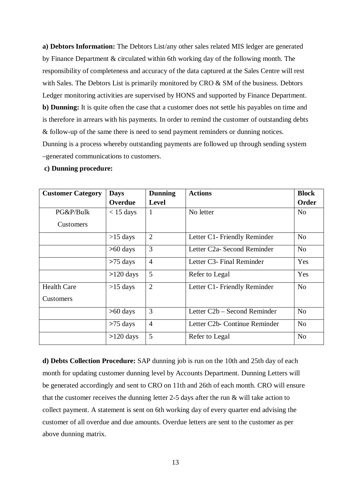**a) Debtors Information:** The Debtors List/any other sales related MIS ledger are generated by Finance Department & circulated within 6th working day of the following month. The responsibility of completeness and accuracy of the data captured at the Sales Centre will rest with Sales. The Debtors List is primarily monitored by CRO & SM of the business. Debtors Ledger monitoring activities are supervised by HONS and supported by Finance Department. **b) Dunning:** It is quite often the case that a customer does not settle his payables on time and is therefore in arrears with his payments. In order to remind the customer of outstanding debts & follow-up of the same there is need to send payment reminders or dunning notices. Dunning is a process whereby outstanding payments are followed up through sending system –generated communications to customers.

#### **c) Dunning procedure:**

| <b>Customer Category</b> | <b>Days</b> | <b>Dunning</b> | <b>Actions</b>                | <b>Block</b>   |
|--------------------------|-------------|----------------|-------------------------------|----------------|
|                          | Overdue     | <b>Level</b>   |                               | Order          |
| PG&P/Bulk                | $<$ 15 days | 1              | No letter                     | N <sub>o</sub> |
| Customers                |             |                |                               |                |
|                          | $>15$ days  | $\overline{2}$ | Letter C1- Friendly Reminder  | N <sub>o</sub> |
|                          | $>60$ days  | 3              | Letter C2a- Second Reminder   | N <sub>o</sub> |
|                          | $>75$ days  | $\overline{4}$ | Letter C3- Final Reminder     | Yes            |
|                          | $>120$ days | 5              | Refer to Legal                | Yes            |
| <b>Health Care</b>       | $>15$ days  | $\overline{2}$ | Letter C1- Friendly Reminder  | N <sub>o</sub> |
| Customers                |             |                |                               |                |
|                          | $>60$ days  | 3              | Letter C2b – Second Reminder  | N <sub>o</sub> |
|                          | $>75$ days  | $\overline{4}$ | Letter C2b- Continue Reminder | N <sub>o</sub> |
|                          | $>120$ days | 5              | Refer to Legal                | N <sub>o</sub> |

**d) Debts Collection Procedure:** SAP dunning job is run on the 10th and 25th day of each month for updating customer dunning level by Accounts Department. Dunning Letters will be generated accordingly and sent to CRO on 11th and 26th of each month. CRO will ensure that the customer receives the dunning letter 2-5 days after the run & will take action to collect payment. A statement is sent on 6th working day of every quarter end advising the customer of all overdue and due amounts. Overdue letters are sent to the customer as per above dunning matrix.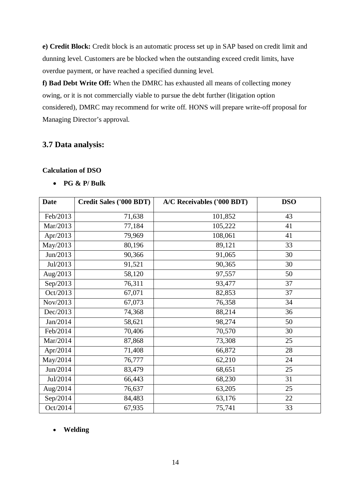**e) Credit Block:** Credit block is an automatic process set up in SAP based on credit limit and dunning level. Customers are be blocked when the outstanding exceed credit limits, have overdue payment, or have reached a specified dunning level.

**f) Bad Debt Write Off:** When the DMRC has exhausted all means of collecting money owing, or it is not commercially viable to pursue the debt further (litigation option considered), DMRC may recommend for write off. HONS will prepare write-off proposal for Managing Director's approval.

#### **3.7 Data analysis:**

#### **Calculation of DSO**

• **PG & P/ Bulk**

| <b>Date</b> | Credit Sales ('000 BDT) | A/C Receivables ('000 BDT) | <b>DSO</b> |
|-------------|-------------------------|----------------------------|------------|
| Feb/2013    | 71,638                  | 101,852                    | 43         |
| Mar/2013    | 77,184                  | 105,222                    | 41         |
| Apr/2013    | 79,969                  | 108,061                    | 41         |
| May/2013    | 80,196                  | 89,121                     | 33         |
| Jun/2013    | 90,366                  | 91,065                     | 30         |
| Jul/2013    | 91,521                  | 90,365                     | 30         |
| Aug/2013    | 58,120                  | 97,557                     | 50         |
| Sep/2013    | 76,311                  | 93,477                     | 37         |
| Oct/2013    | 67,071                  | 82,853                     | 37         |
| Nov/2013    | 67,073                  | 76,358                     | 34         |
| Dec/2013    | 74,368                  | 88,214                     | 36         |
| Jan/2014    | 58,621                  | 98,274                     | 50         |
| Feb/2014    | 70,406                  | 70,570                     | 30         |
| Mar/2014    | 87,868                  | 73,308                     | 25         |
| Apr/2014    | 71,408                  | 66,872                     | 28         |
| May/2014    | 76,777                  | 62,210                     | 24         |
| Jun/2014    | 83,479                  | 68,651                     | 25         |
| Jul/2014    | 66,443                  | 68,230                     | 31         |
| Aug/2014    | 76,637                  | 63,205                     | 25         |
| Sep/2014    | 84,483                  | 63,176                     | 22         |
| Oct/2014    | 67,935                  | 75,741                     | 33         |

#### • **Welding**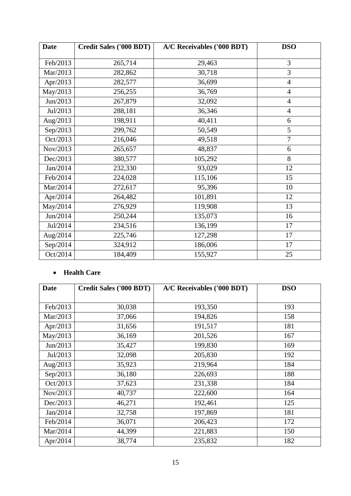| <b>Date</b> | <b>Credit Sales ('000 BDT)</b> | A/C Receivables ('000 BDT) | <b>DSO</b>     |
|-------------|--------------------------------|----------------------------|----------------|
| Feb/2013    | 265,714                        | 29,463                     | 3              |
| Mar/2013    | 282,862                        | 30,718                     | 3              |
| Apr/2013    | 282,577                        | 36,699                     | $\overline{4}$ |
| May/2013    | 256,255                        | 36,769                     | $\overline{4}$ |
| Jun/2013    | 267,879                        | 32,092                     | $\overline{4}$ |
| Jul/2013    | 288,181                        | 36,346                     | $\overline{4}$ |
| Aug/2013    | 198,911                        | 40,411                     | 6              |
| Sep/2013    | 299,762                        | 50,549                     | 5              |
| Oct/2013    | 216,046                        | 49,518                     | $\overline{7}$ |
| Nov/2013    | 265,657                        | 48,837                     | 6              |
| Dec/2013    | 380,577                        | 105,292                    | 8              |
| Jan/2014    | 232,330                        | 93,029                     | 12             |
| Feb/2014    | 224,028                        | 115,106                    | 15             |
| Mar/2014    | 272,617                        | 95,396                     | 10             |
| Apr/2014    | 264,482                        | 101,891                    | 12             |
| May/2014    | 276,929                        | 119,908                    | 13             |
| Jun/2014    | 250,244                        | 135,073                    | 16             |
| Jul/2014    | 234,516                        | 136,199                    | 17             |
| Aug/2014    | 225,746                        | 127,298                    | 17             |
| Sep/2014    | 324,912                        | 186,006                    | 17             |
| Oct/2014    | 184,409                        | 155,927                    | 25             |

### • **Health Care**

| <b>Date</b> | <b>Credit Sales ('000 BDT)</b> | A/C Receivables ('000 BDT) | <b>DSO</b> |
|-------------|--------------------------------|----------------------------|------------|
|             |                                |                            |            |
| Feb/2013    | 30,038                         | 193,350                    | 193        |
| Mar/2013    | 37,066                         | 194,826                    | 158        |
| Apr $/2013$ | 31,656                         | 191,517                    | 181        |
| May/2013    | 36,169                         | 201,526                    | 167        |
| Jun/2013    | 35,427                         | 199,830                    | 169        |
| Jul/2013    | 32,098                         | 205,830                    | 192        |
| Aug/2013    | 35,923                         | 219,964                    | 184        |
| Sep/2013    | 36,180                         | 226,693                    | 188        |
| Oct/2013    | 37,623                         | 231,338                    | 184        |
| Nov/2013    | 40,737                         | 222,600                    | 164        |
| Dec/2013    | 46,271                         | 192,461                    | 125        |
| Jan/2014    | 32,758                         | 197,869                    | 181        |
| Feb/2014    | 36,071                         | 206,423                    | 172        |
| Mar/2014    | 44,399                         | 221,883                    | 150        |
| Apr/2014    | 38,774                         | 235,832                    | 182        |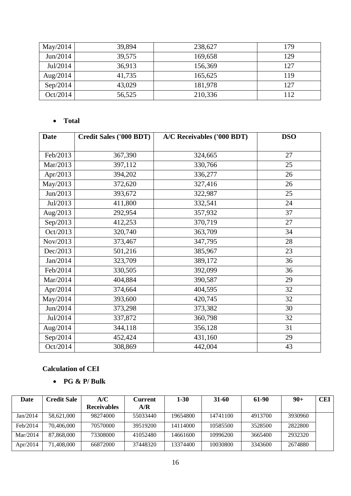| May/2014 | 39,894 | 238,627 | 179 |
|----------|--------|---------|-----|
| Jun/2014 | 39,575 | 169,658 | 129 |
| Jul/2014 | 36,913 | 156,369 | 127 |
| Aug/2014 | 41,735 | 165,625 | 119 |
| Sep/2014 | 43,029 | 181,978 | 127 |
| Oct/2014 | 56,525 | 210,336 | 112 |

# • **Total**

| <b>Date</b> | <b>Credit Sales ('000 BDT)</b> | A/C Receivables ('000 BDT) | <b>DSO</b> |
|-------------|--------------------------------|----------------------------|------------|
|             |                                |                            |            |
| Feb/2013    | 367,390                        | 324,665                    | 27         |
| Mar/2013    | 397,112                        | 330,766                    | 25         |
| Apr/2013    | 394,202                        | 336,277                    | 26         |
| May/2013    | 372,620                        | 327,416                    | 26         |
| Jun/2013    | 393,672                        | 322,987                    | 25         |
| Jul/2013    | 411,800                        | 332,541                    | 24         |
| Aug/2013    | 292,954                        | 357,932                    | 37         |
| Sep/2013    | 412,253                        | 370,719                    | 27         |
| Oct/2013    | 320,740                        | 363,709                    | 34         |
| Nov/2013    | 373,467                        | 347,795                    | 28         |
| Dec/2013    | 501,216                        | 385,967                    | 23         |
| Jan/2014    | 323,709                        | 389,172                    | 36         |
| Feb/2014    | 330,505                        | 392,099                    | 36         |
| Mar/2014    | 404,884                        | 390,587                    | 29         |
| Apr/2014    | 374,664                        | 404,595                    | 32         |
| May/2014    | 393,600                        | 420,745                    | 32         |
| Jun/2014    | 373,298                        | 373,382                    | 30         |
| Jul/2014    | 337,872                        | 360,798                    | 32         |
| Aug/2014    | 344,118                        | 356,128                    | 31         |
| Sep/2014    | 452,424                        | 431,160                    | 29         |
| Oct/2014    | 308,869                        | 442,004                    | 43         |

#### **Calculation of CEI**

#### • **PG & P/ Bulk**

| Date     | Credit Sale | A/C<br><b>Receivables</b> | Current<br>A/R | $1-30$   | $31-60$  | 61-90   | $90 +$  | <b>CEI</b> |
|----------|-------------|---------------------------|----------------|----------|----------|---------|---------|------------|
| Jan/2014 | 58,621,000  | 98274000                  | 55033440       | 19654800 | 14741100 | 4913700 | 3930960 |            |
| Feb/2014 | 70,406,000  | 70570000                  | 39519200       | 14114000 | 10585500 | 3528500 | 2822800 |            |
| Mar/2014 | 87,868,000  | 73308000                  | 41052480       | 14661600 | 10996200 | 3665400 | 2932320 |            |
| Apr/2014 | 71,408,000  | 66872000                  | 37448320       | 13374400 | 10030800 | 3343600 | 2674880 |            |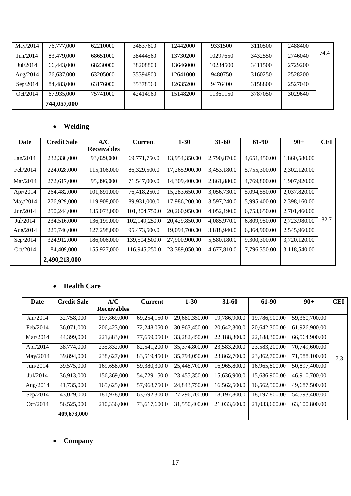| May/2014 | 76,777,000  | 62210000 | 34837600 | 12442000 | 9331500  | 3110500 | 2488400 |      |
|----------|-------------|----------|----------|----------|----------|---------|---------|------|
| Jun/2014 | 83,479,000  | 68651000 | 38444560 | 13730200 | 10297650 | 3432550 | 2746040 | 74.4 |
| Jul/2014 | 66,443,000  | 68230000 | 38208800 | 13646000 | 10234500 | 3411500 | 2729200 |      |
| Aug/2014 | 76,637,000  | 63205000 | 35394800 | 12641000 | 9480750  | 3160250 | 2528200 |      |
| Sep/2014 | 84,483,000  | 63176000 | 35378560 | 12635200 | 9476400  | 3158800 | 2527040 |      |
| Oct/2014 | 67,935,000  | 75741000 | 42414960 | 15148200 | 11361150 | 3787050 | 3029640 |      |
|          | 744,057,000 |          |          |          |          |         |         |      |

### • **Welding**

| Date        | <b>Credit Sale</b> | A/C                | <b>Current</b> | $1 - 30$      | $31 - 60$   | 61-90        | $90+$        | <b>CEI</b> |
|-------------|--------------------|--------------------|----------------|---------------|-------------|--------------|--------------|------------|
|             |                    | <b>Receivables</b> |                |               |             |              |              |            |
| Jan/2014    | 232,330,000        | 93,029,000         | 69,771,750.0   | 13,954,350.00 | 2,790,870.0 | 4,651,450.00 | 1,860,580.00 |            |
| Feb/2014    | 224,028,000        | 115,106,000        | 86,329,500.0   | 17,265,900.00 | 3,453,180.0 | 5,755,300.00 | 2,302,120.00 |            |
| Mar/2014    | 272,617,000        | 95,396,000         | 71,547,000.0   | 14,309,400.00 | 2,861,880.0 | 4,769,800.00 | 1,907,920.00 |            |
| Apr $/2014$ | 264,482,000        | 101.891.000        | 76,418,250.0   | 15,283,650.00 | 3,056,730.0 | 5.094.550.00 | 2,037,820.00 |            |
| May/2014    | 276,929,000        | 119,908,000        | 89,931,000.0   | 17,986,200.00 | 3,597,240.0 | 5,995,400.00 | 2,398,160.00 |            |
| Jun/2014    | 250,244,000        | 135,073,000        | 101,304,750.0  | 20,260,950.00 | 4,052,190.0 | 6,753,650.00 | 2,701,460.00 |            |
| Jul/2014    | 234,516,000        | 136,199,000        | 102,149,250.0  | 20,429,850.00 | 4,085,970.0 | 6,809,950.00 | 2,723,980.00 | 82.7       |
| Aug/2014    | 225,746,000        | 127,298,000        | 95,473,500.0   | 19,094,700.00 | 3,818,940.0 | 6,364,900.00 | 2,545,960.00 |            |
| Sep/2014    | 324,912,000        | 186.006.000        | 139,504,500.0  | 27,900,900.00 | 5,580,180.0 | 9.300.300.00 | 3,720,120.00 |            |
| Oct/2014    | 184,409,000        | 155,927,000        | 116,945,250.0  | 23,389,050.00 | 4,677,810.0 | 7,796,350.00 | 3,118,540.00 |            |
|             | 2,490,213,000      |                    |                |               |             |              |              |            |

# • **Health Care**

| Date        | <b>Credit Sale</b> | A/C                | <b>Current</b> | $1 - 30$      | $31 - 60$    | 61-90         | $90+$         | <b>CEI</b> |
|-------------|--------------------|--------------------|----------------|---------------|--------------|---------------|---------------|------------|
|             |                    | <b>Receivables</b> |                |               |              |               |               |            |
| Jan/2014    | 32,758,000         | 197,869,000        | 69,254,150.0   | 29,680,350.00 | 19,786,900.0 | 19,786,900.00 | 59,360,700.00 |            |
| Feb/2014    | 36,071,000         | 206,423,000        | 72,248,050.0   | 30,963,450.00 | 20,642,300.0 | 20,642,300.00 | 61,926,900.00 |            |
| Mar/2014    | 44,399,000         | 221,883,000        | 77,659,050.0   | 33,282,450.00 | 22,188,300.0 | 22,188,300.00 | 66,564,900.00 |            |
| Apr $/2014$ | 38,774,000         | 235,832,000        | 82,541,200.0   | 35,374,800.00 | 23,583,200.0 | 23,583,200.00 | 70,749,600.00 |            |
| May/2014    | 39,894,000         | 238,627,000        | 83,519,450.0   | 35,794,050.00 | 23,862,700.0 | 23,862,700.00 | 71,588,100.00 | 17.3       |
| Jun/2014    | 39,575,000         | 169,658,000        | 59,380,300.0   | 25,448,700.00 | 16,965,800.0 | 16,965,800.00 | 50,897,400.00 |            |
| Jul/2014    | 36,913,000         | 156,369,000        | 54,729,150.0   | 23,455,350.00 | 15,636,900.0 | 15,636,900.00 | 46,910,700.00 |            |
| Aug/2014    | 41,735,000         | 165,625,000        | 57,968,750.0   | 24,843,750.00 | 16,562,500.0 | 16,562,500.00 | 49,687,500.00 |            |
| Sep/2014    | 43,029,000         | 181,978,000        | 63,692,300.0   | 27,296,700.00 | 18,197,800.0 | 18.197.800.00 | 54,593,400.00 |            |
| Oct/2014    | 56,525,000         | 210,336,000        | 73,617,600.0   | 31,550,400.00 | 21,033,600.0 | 21,033,600.00 | 63,100,800.00 |            |
|             | 409,673,000        |                    |                |               |              |               |               |            |

### • **Company**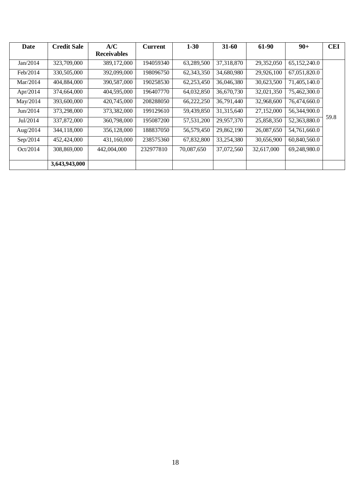| Date     | <b>Credit Sale</b> | A/C                | <b>Current</b> | $1 - 30$   | $31 - 60$  | 61-90      | $90+$        | <b>CEI</b> |
|----------|--------------------|--------------------|----------------|------------|------------|------------|--------------|------------|
|          |                    | <b>Receivables</b> |                |            |            |            |              |            |
| Jan/2014 | 323,709,000        | 389,172,000        | 194059340      | 63,289,500 | 37,318,870 | 29,352,050 | 65,152,240.0 |            |
| Feb/2014 | 330,505,000        | 392,099,000        | 198096750      | 62,343,350 | 34,680,980 | 29,926,100 | 67,051,820.0 |            |
| Mar/2014 | 404,884,000        | 390,587,000        | 190258530      | 62,253,450 | 36,046,380 | 30,623,500 | 71,405,140.0 |            |
| Apr/2014 | 374,664,000        | 404,595,000        | 196407770      | 64,032,850 | 36,670,730 | 32,021,350 | 75,462,300.0 |            |
| May/2014 | 393,600,000        | 420,745,000        | 208288050      | 66,222,250 | 36,791,440 | 32,968,600 | 76,474,660.0 |            |
| Jun/2014 | 373,298,000        | 373,382,000        | 199129610      | 59,439,850 | 31,315,640 | 27,152,000 | 56,344,900.0 |            |
| Jul/2014 | 337,872,000        | 360,798,000        | 195087200      | 57,531,200 | 29,957,370 | 25,858,350 | 52,363,880.0 | 59.8       |
| Aug/2014 | 344,118,000        | 356,128,000        | 188837050      | 56,579,450 | 29,862,190 | 26,087,650 | 54,761,660.0 |            |
| Sep/2014 | 452,424,000        | 431,160,000        | 238575360      | 67,832,800 | 33,254,380 | 30,656,900 | 60,840,560.0 |            |
| Oct/2014 | 308,869,000        | 442,004,000        | 232977810      | 70,087,650 | 37,072,560 | 32,617,000 | 69,248,980.0 |            |
|          |                    |                    |                |            |            |            |              |            |
|          | 3,643,943,000      |                    |                |            |            |            |              |            |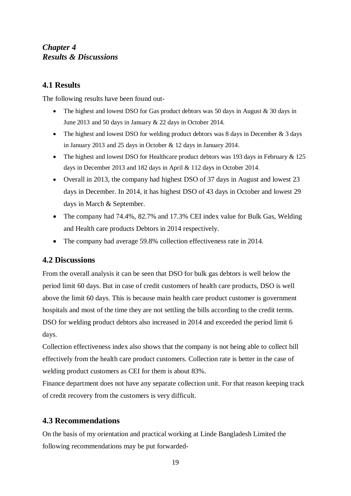# *Chapter 4 Results & Discussions*

# **4.1 Results**

The following results have been found out-

- The highest and lowest DSO for Gas product debtors was 50 days in August  $\&$  30 days in June 2013 and 50 days in January & 22 days in October 2014.
- The highest and lowest DSO for welding product debtors was 8 days in December  $\&$  3 days in January 2013 and 25 days in October & 12 days in January 2014.
- The highest and lowest DSO for Healthcare product debtors was 193 days in February & 125 days in December 2013 and 182 days in April & 112 days in October 2014.
- Overall in 2013, the company had highest DSO of 37 days in August and lowest 23 days in December. In 2014, it has highest DSO of 43 days in October and lowest 29 days in March & September.
- The company had 74.4%, 82.7% and 17.3% CEI index value for Bulk Gas, Welding and Health care products Debtors in 2014 respectively.
- The company had average 59.8% collection effectiveness rate in 2014.

# **4.2 Discussions**

From the overall analysis it can be seen that DSO for bulk gas debtors is well below the period limit 60 days. But in case of credit customers of health care products, DSO is well above the limit 60 days. This is because main health care product customer is government hospitals and most of the time they are not settling the bills according to the credit terms. DSO for welding product debtors also increased in 2014 and exceeded the period limit 6 days.

Collection effectiveness index also shows that the company is not being able to collect bill effectively from the health care product customers. Collection rate is better in the case of welding product customers as CEI for them is about 83%.

Finance department does not have any separate collection unit. For that reason keeping track of credit recovery from the customers is very difficult.

# **4.3 Recommendations**

On the basis of my orientation and practical working at Linde Bangladesh Limited the following recommendations may be put forwarded-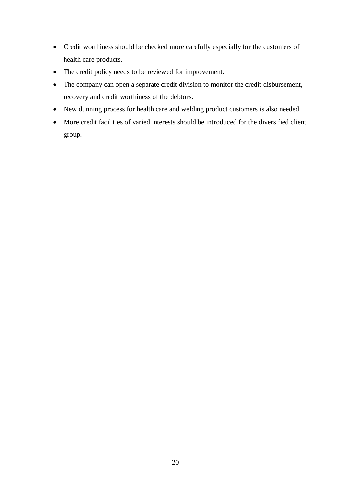- Credit worthiness should be checked more carefully especially for the customers of health care products.
- The credit policy needs to be reviewed for improvement.
- The company can open a separate credit division to monitor the credit disbursement, recovery and credit worthiness of the debtors.
- New dunning process for health care and welding product customers is also needed.
- More credit facilities of varied interests should be introduced for the diversified client group.